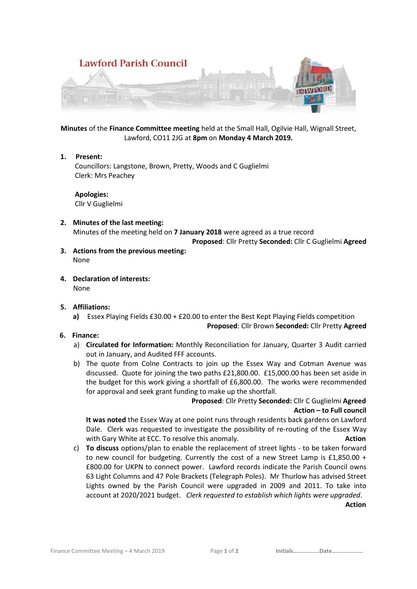

**Minutes** of the **Finance Committee meeting** held at the Small Hall, Ogilvie Hall, Wignall Street, Lawford, CO11 2JG at **8pm** on **Monday 4 March 2019.**

### **1. Present:**

 Councillors: Langstone, Brown, Pretty, Woods and C Guglielmi Clerk: Mrs Peachey

 **Apologies:** Cllr V Guglielmi

## **2. Minutes of the last meeting:** Minutes of the meeting held on **7 January 2018** were agreed as a true record **Proposed**: Cllr Pretty **Seconded:** Cllr C Guglielmi **Agreed**

- **3. Actions from the previous meeting:** None
- **4. Declaration of interests:** None
- **5. Affiliations:** 
	- **a)** Essex Playing Fields £30.00 + £20.00 to enter the Best Kept Playing Fields competition

### **Proposed**: Cllr Brown **Seconded:** Cllr Pretty **Agreed**

- **6. Finance:**
	- a) **Circulated for Information:** Monthly Reconciliation for January, Quarter 3 Audit carried out in January, and Audited FFF accounts.
	- b) The quote from Colne Contracts to join up the Essex Way and Cotman Avenue was discussed. Quote for joining the two paths £21,800.00. £15,000.00 has been set aside in the budget for this work giving a shortfall of £6,800.00. The works were recommended for approval and seek grant funding to make up the shortfall.

# **Proposed**: Cllr Pretty **Seconded:** Cllr C Guglielmi **Agreed Action – to Full council**

**It was noted** the Essex Way at one point runs through residents back gardens on Lawford Dale. Clerk was requested to investigate the possibility of re-routing of the Essex Way with Gary White at ECC. To resolve this anomaly. **Action Action** 

c) **To discuss** options/plan to enable the replacement of street lights - to be taken forward to new council for budgeting. Currently the cost of a new Street Lamp is £1,850.00 + £800.00 for UKPN to connect power. Lawford records indicate the Parish Council owns 63 Light Columns and 47 Pole Brackets (Telegraph Poles). Mr Thurlow has advised Street Lights owned by the Parish Council were upgraded in 2009 and 2011. To take into account at 2020/2021 budget. *Clerk requested to establish which lights were upgraded*. *Action*